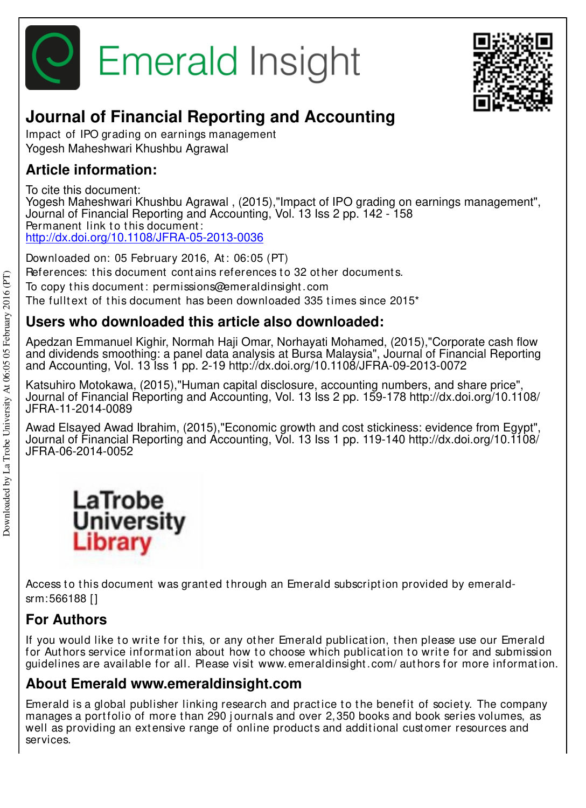



# **Journal of Financial Reporting and Accounting**

Impact of IPO grading on earnings management Yogesh Maheshwari Khushbu Agrawal

# **Article information:**

To cite this document: Yogesh Maheshwari Khushbu Agrawal , (2015),"Impact of IPO grading on earnings management", Journal of Financial Reporting and Accounting, Vol. 13 Iss 2 pp. 142 - 158 Permanent link to this document: http://dx.doi.org/10.1108/JFRA-05-2013-0036

Downloaded on: 05 February 2016, At : 06:05 (PT)

References: this document contains references to 32 other documents.

To copy t his document : permissions@emeraldinsight .com

The fulltext of this document has been downloaded 335 times since  $2015$ \*

# **Users who downloaded this article also downloaded:**

Apedzan Emmanuel Kighir, Normah Haji Omar, Norhayati Mohamed, (2015),"Corporate cash flow and dividends smoothing: a panel data analysis at Bursa Malaysia", Journal of Financial Reporting and Accounting, Vol. 13 Iss 1 pp. 2-19 http://dx.doi.org/10.1108/JFRA-09-2013-0072

Katsuhiro Motokawa, (2015),"Human capital disclosure, accounting numbers, and share price", Journal of Financial Reporting and Accounting, Vol. 13 Iss 2 pp. 159-178 http://dx.doi.org/10.1108/ JFRA-11-2014-0089

Awad Elsayed Awad Ibrahim, (2015),"Economic growth and cost stickiness: evidence from Egypt", Journal of Financial Reporting and Accounting, Vol. 13 Iss 1 pp. 119-140 http://dx.doi.org/10.1108/ JFRA-06-2014-0052

# LaTrobe **University** Library

Access to this document was granted through an Emerald subscription provided by emeraldsrm:566188 []

# **For Authors**

If you would like to write for this, or any other Emerald publication, then please use our Emerald for Authors service information about how to choose which publication to write for and submission guidelines are available for all. Please visit www.emeraldinsight.com/ authors for more information.

# **About Emerald www.emeraldinsight.com**

Emerald is a global publisher linking research and practice to the benefit of society. The company manages a portfolio of more than 290 journals and over 2,350 books and book series volumes, as well as providing an extensive range of online products and additional customer resources and services.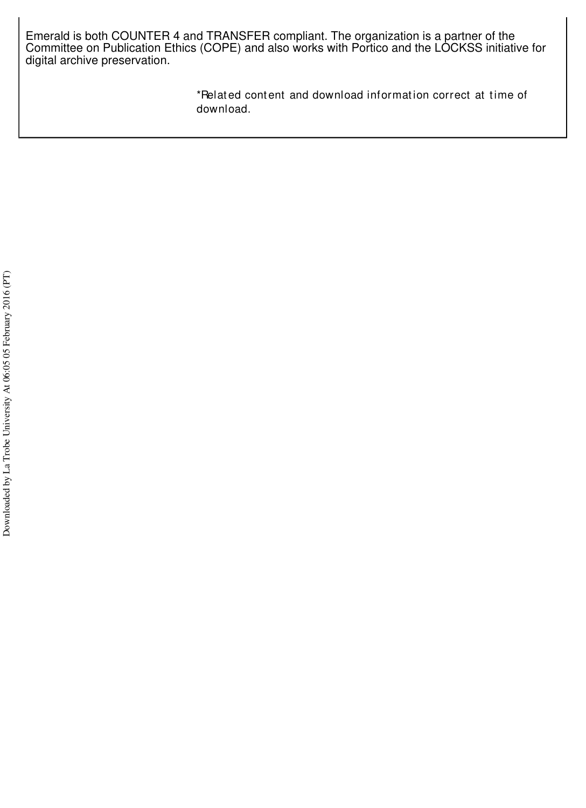Emerald is both COUNTER 4 and TRANSFER compliant. The organization is a partner of the Committee on Publication Ethics (COPE) and also works with Portico and the LOCKSS initiative for digital archive preservation.

> \*Relat ed cont ent and download informat ion correct at t ime of download.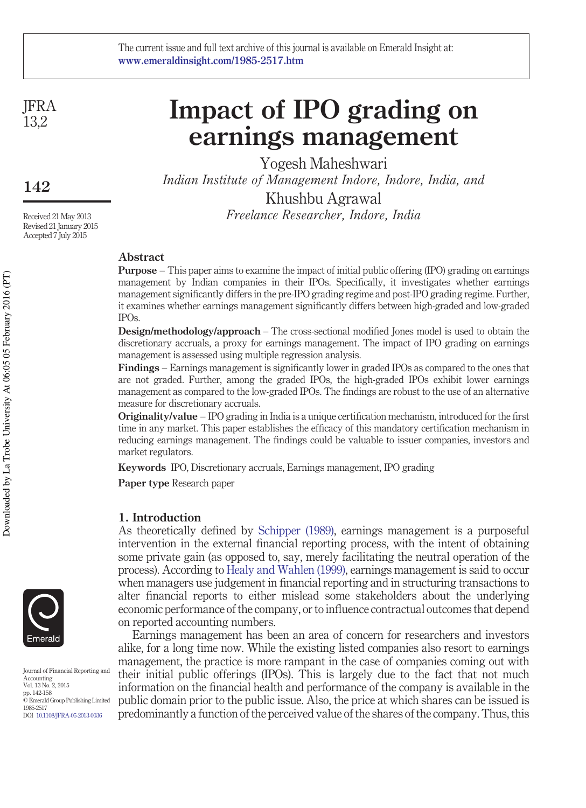#### The current issue and full text archive of this journal is available on Emerald Insight at: **www.emeraldinsight.com/1985-2517.htm**

JFRA 13,2

**142**

Received 21 May 2013 Revised 21 January 2015 Accepted 7 July 2015

# **Impact of IPO grading on earnings management**

Yogesh Maheshwari *Indian Institute of Management Indore, Indore, India, and*

Khushbu Agrawal *Freelance Researcher, Indore, India*

## **Abstract**

**Purpose** – This paper aims to examine the impact of initial public offering (IPO) grading on earnings management by Indian companies in their IPOs. Specifically, it investigates whether earnings management significantly differs in the pre-IPO grading regime and post-IPO grading regime. Further, it examines whether earnings management significantly differs between high-graded and low-graded IPOs.

**Design/methodology/approach** – The cross-sectional modified Jones model is used to obtain the discretionary accruals, a proxy for earnings management. The impact of IPO grading on earnings management is assessed using multiple regression analysis.

**Findings** – Earnings management is significantly lower in graded IPOs as compared to the ones that are not graded. Further, among the graded IPOs, the high-graded IPOs exhibit lower earnings management as compared to the low-graded IPOs. The findings are robust to the use of an alternative measure for discretionary accruals.

**Originality/value** – IPO grading in India is a unique certification mechanism, introduced for the first time in any market. This paper establishes the efficacy of this mandatory certification mechanism in reducing earnings management. The findings could be valuable to issuer companies, investors and market regulators.

**Keywords** IPO, Discretionary accruals, Earnings management, IPO grading

**Paper type** Research paper

### **1. Introduction**

As theoretically defined by Schipper (1989), earnings management is a purposeful intervention in the external financial reporting process, with the intent of obtaining some private gain (as opposed to, say, merely facilitating the neutral operation of the process). According to Healy and Wahlen (1999), earnings management is said to occur when managers use judgement in financial reporting and in structuring transactions to alter financial reports to either mislead some stakeholders about the underlying economic performance of the company, or to influence contractual outcomes that depend on reported accounting numbers.

Earnings management has been an area of concern for researchers and investors alike, for a long time now. While the existing listed companies also resort to earnings management, the practice is more rampant in the case of companies coming out with their initial public offerings (IPOs). This is largely due to the fact that not much information on the financial health and performance of the company is available in the public domain prior to the public issue. Also, the price at which shares can be issued is predominantly a function of the perceived value of the shares of the company. Thus, this



Journal of Financial Reporting and **Accounting** Vol. 13 No. 2, 2015 pp. 142-158 © Emerald Group Publishing Limited 1985-2517 DOI 10.1108/JFRA-05-2013-0036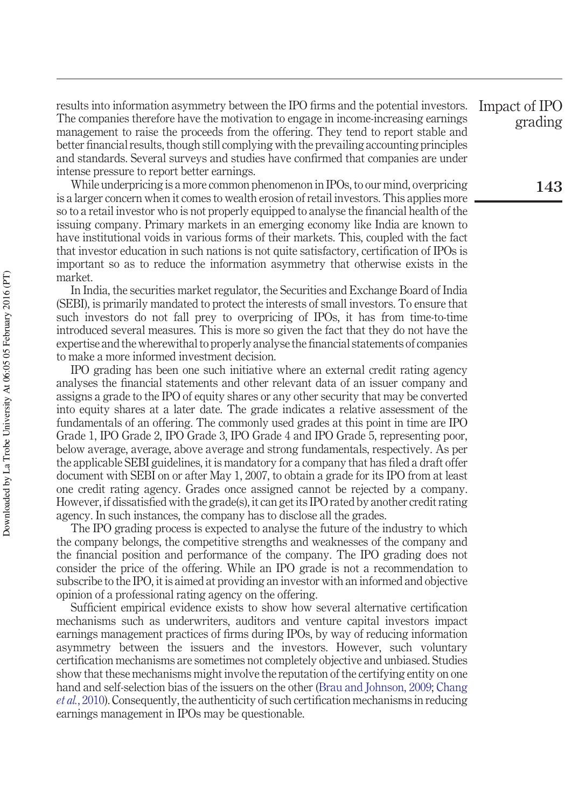results into information asymmetry between the IPO firms and the potential investors. The companies therefore have the motivation to engage in income-increasing earnings management to raise the proceeds from the offering. They tend to report stable and better financial results, though still complying with the prevailing accounting principles and standards. Several surveys and studies have confirmed that companies are under intense pressure to report better earnings.

While underpricing is a more common phenomenon in IPOs, to our mind, overpricing is a larger concern when it comes to wealth erosion of retail investors. This applies more so to a retail investor who is not properly equipped to analyse the financial health of the issuing company. Primary markets in an emerging economy like India are known to have institutional voids in various forms of their markets. This, coupled with the fact that investor education in such nations is not quite satisfactory, certification of IPOs is important so as to reduce the information asymmetry that otherwise exists in the market.

In India, the securities market regulator, the Securities and Exchange Board of India (SEBI), is primarily mandated to protect the interests of small investors. To ensure that such investors do not fall prey to overpricing of IPOs, it has from time-to-time introduced several measures. This is more so given the fact that they do not have the expertise and the wherewithal to properly analyse the financial statements of companies to make a more informed investment decision.

IPO grading has been one such initiative where an external credit rating agency analyses the financial statements and other relevant data of an issuer company and assigns a grade to the IPO of equity shares or any other security that may be converted into equity shares at a later date. The grade indicates a relative assessment of the fundamentals of an offering. The commonly used grades at this point in time are IPO Grade 1, IPO Grade 2, IPO Grade 3, IPO Grade 4 and IPO Grade 5, representing poor, below average, average, above average and strong fundamentals, respectively. As per the applicable SEBI guidelines, it is mandatory for a company that has filed a draft offer document with SEBI on or after May 1, 2007, to obtain a grade for its IPO from at least one credit rating agency. Grades once assigned cannot be rejected by a company. However, if dissatisfied with the grade(s), it can get its IPO rated by another credit rating agency. In such instances, the company has to disclose all the grades.

The IPO grading process is expected to analyse the future of the industry to which the company belongs, the competitive strengths and weaknesses of the company and the financial position and performance of the company. The IPO grading does not consider the price of the offering. While an IPO grade is not a recommendation to subscribe to the IPO, it is aimed at providing an investor with an informed and objective opinion of a professional rating agency on the offering.

Sufficient empirical evidence exists to show how several alternative certification mechanisms such as underwriters, auditors and venture capital investors impact earnings management practices of firms during IPOs, by way of reducing information asymmetry between the issuers and the investors. However, such voluntary certification mechanisms are sometimes not completely objective and unbiased. Studies show that these mechanisms might involve the reputation of the certifying entity on one hand and self-selection bias of the issuers on the other (Brau and Johnson, 2009; Chang *et al.*, 2010). Consequently, the authenticity of such certification mechanisms in reducing earnings management in IPOs may be questionable.

Impact of IPO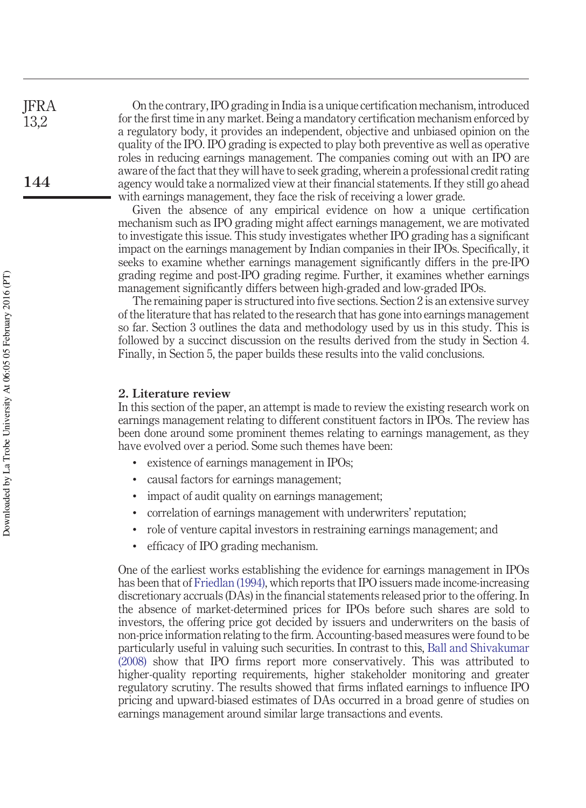On the contrary, IPO grading in India is a unique certification mechanism, introduced for the first time in any market. Being a mandatory certification mechanism enforced by a regulatory body, it provides an independent, objective and unbiased opinion on the quality of the IPO. IPO grading is expected to play both preventive as well as operative roles in reducing earnings management. The companies coming out with an IPO are aware of the fact that they will have to seek grading, wherein a professional credit rating agency would take a normalized view at their financial statements. If they still go ahead with earnings management, they face the risk of receiving a lower grade.

Given the absence of any empirical evidence on how a unique certification mechanism such as IPO grading might affect earnings management, we are motivated to investigate this issue. This study investigates whether IPO grading has a significant impact on the earnings management by Indian companies in their IPOs. Specifically, it seeks to examine whether earnings management significantly differs in the pre-IPO grading regime and post-IPO grading regime. Further, it examines whether earnings management significantly differs between high-graded and low-graded IPOs.

The remaining paper is structured into five sections. Section 2 is an extensive survey of the literature that has related to the research that has gone into earnings management so far. Section 3 outlines the data and methodology used by us in this study. This is followed by a succinct discussion on the results derived from the study in Section 4. Finally, in Section 5, the paper builds these results into the valid conclusions.

#### **2. Literature review**

In this section of the paper, an attempt is made to review the existing research work on earnings management relating to different constituent factors in IPOs. The review has been done around some prominent themes relating to earnings management, as they have evolved over a period. Some such themes have been:

- existence of earnings management in IPOs;
- causal factors for earnings management;
- impact of audit quality on earnings management;
- correlation of earnings management with underwriters' reputation;
- role of venture capital investors in restraining earnings management; and
- efficacy of IPO grading mechanism.

One of the earliest works establishing the evidence for earnings management in IPOs has been that of Friedlan (1994), which reports that IPO issuers made income-increasing discretionary accruals (DAs) in the financial statements released prior to the offering. In the absence of market-determined prices for IPOs before such shares are sold to investors, the offering price got decided by issuers and underwriters on the basis of non-price information relating to the firm. Accounting-based measures were found to be particularly useful in valuing such securities. In contrast to this, Ball and Shivakumar (2008) show that IPO firms report more conservatively. This was attributed to higher-quality reporting requirements, higher stakeholder monitoring and greater regulatory scrutiny. The results showed that firms inflated earnings to influence IPO pricing and upward-biased estimates of DAs occurred in a broad genre of studies on earnings management around similar large transactions and events.

JFRA 13,2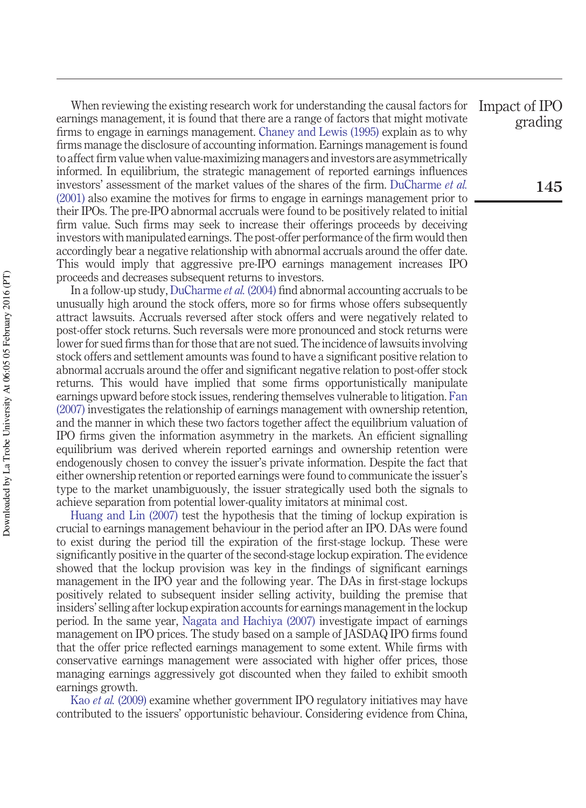When reviewing the existing research work for understanding the causal factors for earnings management, it is found that there are a range of factors that might motivate firms to engage in earnings management. Chaney and Lewis (1995) explain as to why firms manage the disclosure of accounting information. Earnings management is found to affect firm value when value-maximizing managers and investors are asymmetrically informed. In equilibrium, the strategic management of reported earnings influences investors' assessment of the market values of the shares of the firm. DuCharme *et al.* (2001) also examine the motives for firms to engage in earnings management prior to their IPOs. The pre-IPO abnormal accruals were found to be positively related to initial firm value. Such firms may seek to increase their offerings proceeds by deceiving investors with manipulated earnings. The post-offer performance of the firm would then accordingly bear a negative relationship with abnormal accruals around the offer date. This would imply that aggressive pre-IPO earnings management increases IPO proceeds and decreases subsequent returns to investors.

In a follow-up study, DuCharme *et al.* (2004) find abnormal accounting accruals to be unusually high around the stock offers, more so for firms whose offers subsequently attract lawsuits. Accruals reversed after stock offers and were negatively related to post-offer stock returns. Such reversals were more pronounced and stock returns were lower for sued firms than for those that are not sued. The incidence of lawsuits involving stock offers and settlement amounts was found to have a significant positive relation to abnormal accruals around the offer and significant negative relation to post-offer stock returns. This would have implied that some firms opportunistically manipulate earnings upward before stock issues, rendering themselves vulnerable to litigation. Fan (2007) investigates the relationship of earnings management with ownership retention, and the manner in which these two factors together affect the equilibrium valuation of IPO firms given the information asymmetry in the markets. An efficient signalling equilibrium was derived wherein reported earnings and ownership retention were endogenously chosen to convey the issuer's private information. Despite the fact that either ownership retention or reported earnings were found to communicate the issuer's type to the market unambiguously, the issuer strategically used both the signals to achieve separation from potential lower-quality imitators at minimal cost.

Huang and Lin (2007) test the hypothesis that the timing of lockup expiration is crucial to earnings management behaviour in the period after an IPO. DAs were found to exist during the period till the expiration of the first-stage lockup. These were significantly positive in the quarter of the second-stage lockup expiration. The evidence showed that the lockup provision was key in the findings of significant earnings management in the IPO year and the following year. The DAs in first-stage lockups positively related to subsequent insider selling activity, building the premise that insiders' selling after lockup expiration accounts for earnings management in the lockup period. In the same year, Nagata and Hachiya (2007) investigate impact of earnings management on IPO prices. The study based on a sample of JASDAQ IPO firms found that the offer price reflected earnings management to some extent. While firms with conservative earnings management were associated with higher offer prices, those managing earnings aggressively got discounted when they failed to exhibit smooth earnings growth.

Kao *et al.* (2009) examine whether government IPO regulatory initiatives may have contributed to the issuers' opportunistic behaviour. Considering evidence from China,

Impact of IPO grading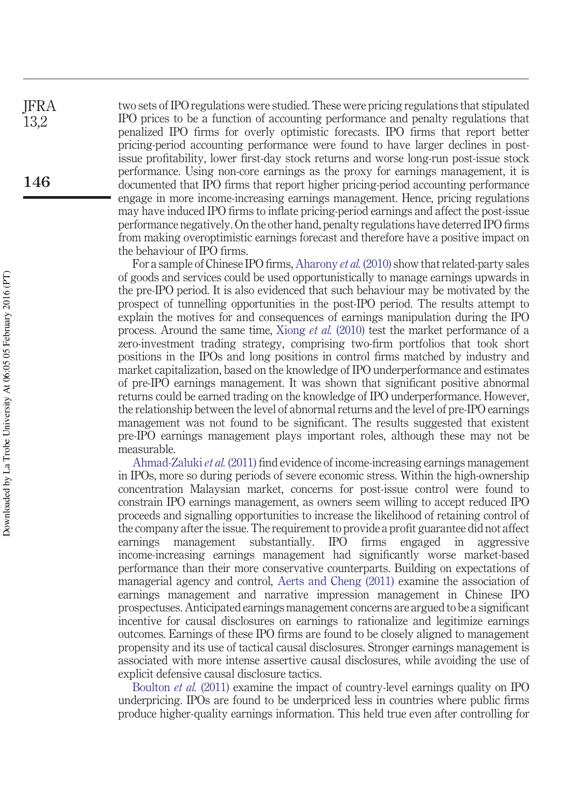two sets of IPO regulations were studied. These were pricing regulations that stipulated IPO prices to be a function of accounting performance and penalty regulations that penalized IPO firms for overly optimistic forecasts. IPO firms that report better pricing-period accounting performance were found to have larger declines in postissue profitability, lower first-day stock returns and worse long-run post-issue stock performance. Using non-core earnings as the proxy for earnings management, it is documented that IPO firms that report higher pricing-period accounting performance engage in more income-increasing earnings management. Hence, pricing regulations may have induced IPO firms to inflate pricing-period earnings and affect the post-issue performance negatively. On the other hand, penalty regulations have deterred IPO firms from making overoptimistic earnings forecast and therefore have a positive impact on the behaviour of IPO firms.

For a sample of Chinese IPO firms, Aharony *et al.* (2010) show that related-party sales of goods and services could be used opportunistically to manage earnings upwards in the pre-IPO period. It is also evidenced that such behaviour may be motivated by the prospect of tunnelling opportunities in the post-IPO period. The results attempt to explain the motives for and consequences of earnings manipulation during the IPO process. Around the same time, Xiong *et al.* (2010) test the market performance of a zero-investment trading strategy, comprising two-firm portfolios that took short positions in the IPOs and long positions in control firms matched by industry and market capitalization, based on the knowledge of IPO underperformance and estimates of pre-IPO earnings management. It was shown that significant positive abnormal returns could be earned trading on the knowledge of IPO underperformance. However, the relationship between the level of abnormal returns and the level of pre-IPO earnings management was not found to be significant. The results suggested that existent pre-IPO earnings management plays important roles, although these may not be measurable.

Ahmad-Zaluki *et al.* (2011) find evidence of income-increasing earnings management in IPOs, more so during periods of severe economic stress. Within the high-ownership concentration Malaysian market, concerns for post-issue control were found to constrain IPO earnings management, as owners seem willing to accept reduced IPO proceeds and signalling opportunities to increase the likelihood of retaining control of the company after the issue. The requirement to provide a profit guarantee did not affect earnings management substantially. IPO firms engaged in aggressive income-increasing earnings management had significantly worse market-based performance than their more conservative counterparts. Building on expectations of managerial agency and control, Aerts and Cheng (2011) examine the association of earnings management and narrative impression management in Chinese IPO prospectuses. Anticipated earnings management concerns are argued to be a significant incentive for causal disclosures on earnings to rationalize and legitimize earnings outcomes. Earnings of these IPO firms are found to be closely aligned to management propensity and its use of tactical causal disclosures. Stronger earnings management is associated with more intense assertive causal disclosures, while avoiding the use of explicit defensive causal disclosure tactics.

Boulton *et al.* (2011) examine the impact of country-level earnings quality on IPO underpricing. IPOs are found to be underpriced less in countries where public firms produce higher-quality earnings information. This held true even after controlling for

JFRA 13,2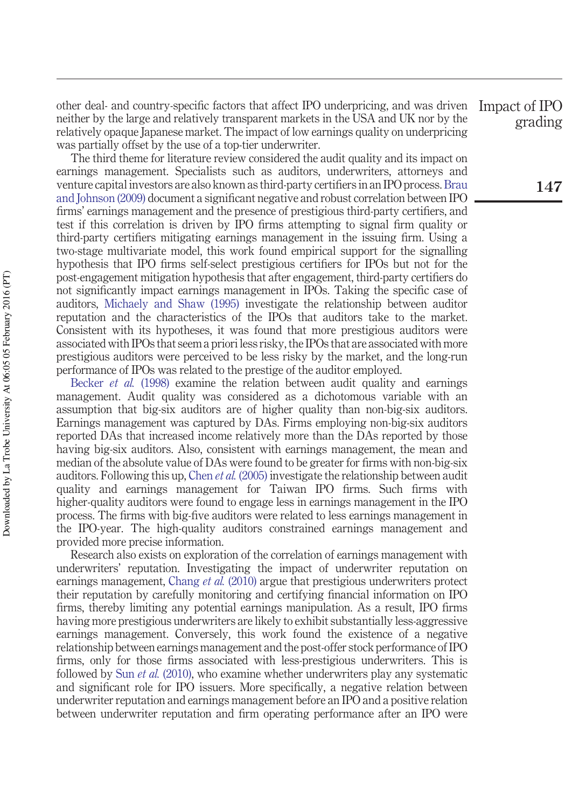other deal- and country-specific factors that affect IPO underpricing, and was driven neither by the large and relatively transparent markets in the USA and UK nor by the relatively opaque Japanese market. The impact of low earnings quality on underpricing was partially offset by the use of a top-tier underwriter.

The third theme for literature review considered the audit quality and its impact on earnings management. Specialists such as auditors, underwriters, attorneys and venture capital investors are also known as third-party certifiers in an IPO process. Brau and Johnson (2009) document a significant negative and robust correlation between IPO firms' earnings management and the presence of prestigious third-party certifiers, and test if this correlation is driven by IPO firms attempting to signal firm quality or third-party certifiers mitigating earnings management in the issuing firm. Using a two-stage multivariate model, this work found empirical support for the signalling hypothesis that IPO firms self-select prestigious certifiers for IPOs but not for the post-engagement mitigation hypothesis that after engagement, third-party certifiers do not significantly impact earnings management in IPOs. Taking the specific case of auditors, Michaely and Shaw (1995) investigate the relationship between auditor reputation and the characteristics of the IPOs that auditors take to the market. Consistent with its hypotheses, it was found that more prestigious auditors were associated with IPOs that seem a priori less risky, the IPOs that are associated with more prestigious auditors were perceived to be less risky by the market, and the long-run performance of IPOs was related to the prestige of the auditor employed.

Becker *et al.* (1998) examine the relation between audit quality and earnings management. Audit quality was considered as a dichotomous variable with an assumption that big-six auditors are of higher quality than non-big-six auditors. Earnings management was captured by DAs. Firms employing non-big-six auditors reported DAs that increased income relatively more than the DAs reported by those having big-six auditors. Also, consistent with earnings management, the mean and median of the absolute value of DAs were found to be greater for firms with non-big-six auditors. Following this up, Chen *et al.* (2005) investigate the relationship between audit quality and earnings management for Taiwan IPO firms. Such firms with higher-quality auditors were found to engage less in earnings management in the IPO process. The firms with big-five auditors were related to less earnings management in the IPO-year. The high-quality auditors constrained earnings management and provided more precise information.

Research also exists on exploration of the correlation of earnings management with underwriters' reputation. Investigating the impact of underwriter reputation on earnings management, Chang *et al.* (2010) argue that prestigious underwriters protect their reputation by carefully monitoring and certifying financial information on IPO firms, thereby limiting any potential earnings manipulation. As a result, IPO firms having more prestigious underwriters are likely to exhibit substantially less-aggressive earnings management. Conversely, this work found the existence of a negative relationship between earnings management and the post-offer stock performance of IPO firms, only for those firms associated with less-prestigious underwriters. This is followed by Sun *et al.* (2010), who examine whether underwriters play any systematic and significant role for IPO issuers. More specifically, a negative relation between underwriter reputation and earnings management before an IPO and a positive relation between underwriter reputation and firm operating performance after an IPO were

Impact of IPO grading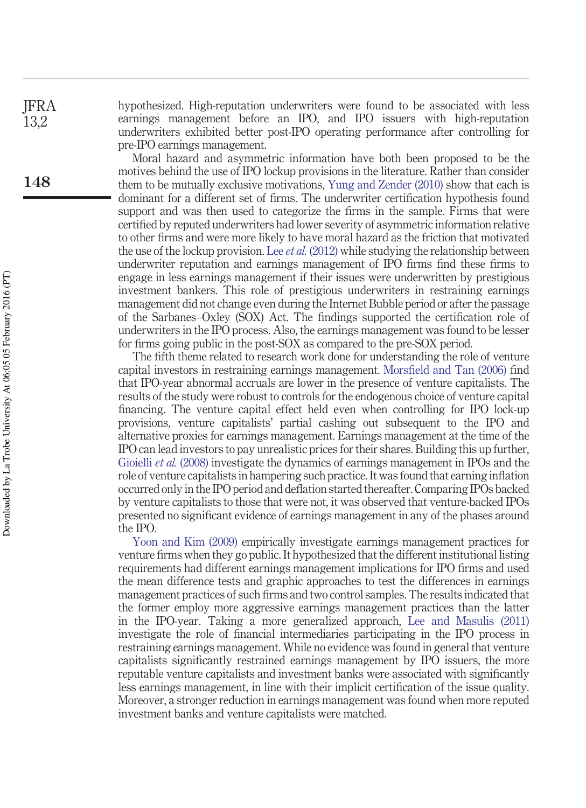hypothesized. High-reputation underwriters were found to be associated with less earnings management before an IPO, and IPO issuers with high-reputation underwriters exhibited better post-IPO operating performance after controlling for pre-IPO earnings management.

Moral hazard and asymmetric information have both been proposed to be the motives behind the use of IPO lockup provisions in the literature. Rather than consider them to be mutually exclusive motivations, Yung and Zender (2010) show that each is dominant for a different set of firms. The underwriter certification hypothesis found support and was then used to categorize the firms in the sample. Firms that were certified by reputed underwriters had lower severity of asymmetric information relative to other firms and were more likely to have moral hazard as the friction that motivated the use of the lockup provision. Lee *et al.* (2012) while studying the relationship between underwriter reputation and earnings management of IPO firms find these firms to engage in less earnings management if their issues were underwritten by prestigious investment bankers. This role of prestigious underwriters in restraining earnings management did not change even during the Internet Bubble period or after the passage of the Sarbanes–Oxley (SOX) Act. The findings supported the certification role of underwriters in the IPO process. Also, the earnings management was found to be lesser for firms going public in the post-SOX as compared to the pre-SOX period.

The fifth theme related to research work done for understanding the role of venture capital investors in restraining earnings management. Morsfield and Tan (2006) find that IPO-year abnormal accruals are lower in the presence of venture capitalists. The results of the study were robust to controls for the endogenous choice of venture capital financing. The venture capital effect held even when controlling for IPO lock-up provisions, venture capitalists' partial cashing out subsequent to the IPO and alternative proxies for earnings management. Earnings management at the time of the IPO can lead investors to pay unrealistic prices for their shares. Building this up further, Gioielli *et al.* (2008) investigate the dynamics of earnings management in IPOs and the role of venture capitalists in hampering such practice. It was found that earning inflation occurred only in the IPO period and deflation started thereafter. Comparing IPOs backed by venture capitalists to those that were not, it was observed that venture-backed IPOs presented no significant evidence of earnings management in any of the phases around the IPO.

Yoon and Kim (2009) empirically investigate earnings management practices for venture firms when they go public. It hypothesized that the different institutional listing requirements had different earnings management implications for IPO firms and used the mean difference tests and graphic approaches to test the differences in earnings management practices of such firms and two control samples. The results indicated that the former employ more aggressive earnings management practices than the latter in the IPO-year. Taking a more generalized approach, Lee and Masulis (2011) investigate the role of financial intermediaries participating in the IPO process in restraining earnings management. While no evidence was found in general that venture capitalists significantly restrained earnings management by IPO issuers, the more reputable venture capitalists and investment banks were associated with significantly less earnings management, in line with their implicit certification of the issue quality. Moreover, a stronger reduction in earnings management was found when more reputed investment banks and venture capitalists were matched.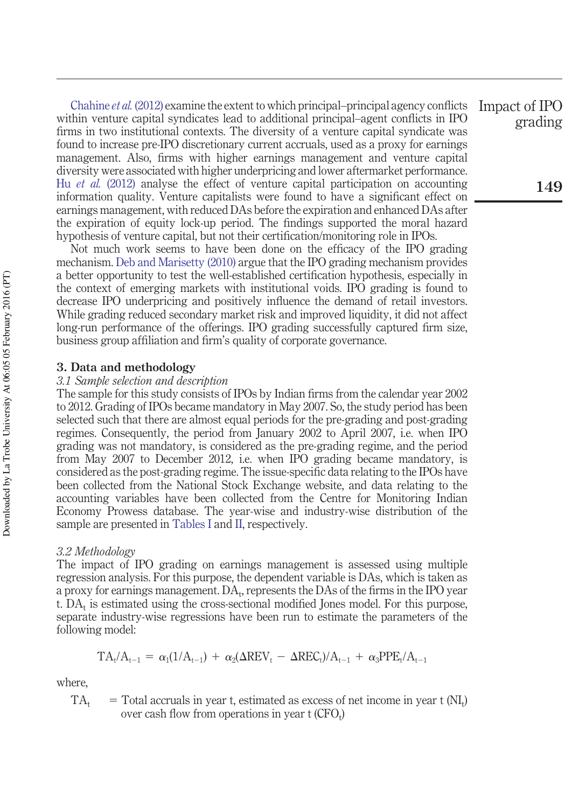Chahine *et al.* (2012) examine the extent to which principal–principal agency conflicts within venture capital syndicates lead to additional principal–agent conflicts in IPO firms in two institutional contexts. The diversity of a venture capital syndicate was found to increase pre-IPO discretionary current accruals, used as a proxy for earnings management. Also, firms with higher earnings management and venture capital diversity were associated with higher underpricing and lower aftermarket performance. Hu *et al.* (2012) analyse the effect of venture capital participation on accounting information quality. Venture capitalists were found to have a significant effect on earnings management, with reduced DAs before the expiration and enhanced DAs after the expiration of equity lock-up period. The findings supported the moral hazard hypothesis of venture capital, but not their certification/monitoring role in IPOs.

Not much work seems to have been done on the efficacy of the IPO grading mechanism. Deb and Marisetty (2010) argue that the IPO grading mechanism provides a better opportunity to test the well-established certification hypothesis, especially in the context of emerging markets with institutional voids. IPO grading is found to decrease IPO underpricing and positively influence the demand of retail investors. While grading reduced secondary market risk and improved liquidity, it did not affect long-run performance of the offerings. IPO grading successfully captured firm size, business group affiliation and firm's quality of corporate governance.

#### **3. Data and methodology**

#### *3.1 Sample selection and description*

The sample for this study consists of IPOs by Indian firms from the calendar year 2002 to 2012. Grading of IPOs became mandatory in May 2007. So, the study period has been selected such that there are almost equal periods for the pre-grading and post-grading regimes. Consequently, the period from January 2002 to April 2007, i.e. when IPO grading was not mandatory, is considered as the pre-grading regime, and the period from May 2007 to December 2012, i.e. when IPO grading became mandatory, is considered as the post-grading regime. The issue-specific data relating to the IPOs have been collected from the National Stock Exchange website, and data relating to the accounting variables have been collected from the Centre for Monitoring Indian Economy Prowess database. The year-wise and industry-wise distribution of the sample are presented in Tables I and II, respectively.

#### *3.2 Methodology*

The impact of IPO grading on earnings management is assessed using multiple regression analysis. For this purpose, the dependent variable is DAs, which is taken as a proxy for earnings management.  $DA_t$ , represents the DAs of the firms in the IPO year t.  $DA_t$  is estimated using the cross-sectional modified Jones model. For this purpose, separate industry-wise regressions have been run to estimate the parameters of the following model:

$$
TA_{t}/A_{t-1} = \alpha_{1}(1/A_{t-1}) + \alpha_{2}(\Delta REV_{t} - \Delta REC_{t})/A_{t-1} + \alpha_{3}PPE_{t}/A_{t-1}
$$

where,

TA. Total accruals in year t, estimated as excess of net income in year  $t (NI_t)$ over cash flow from operations in year  $t$  (CFO<sub>t</sub>)

grading

Impact of IPO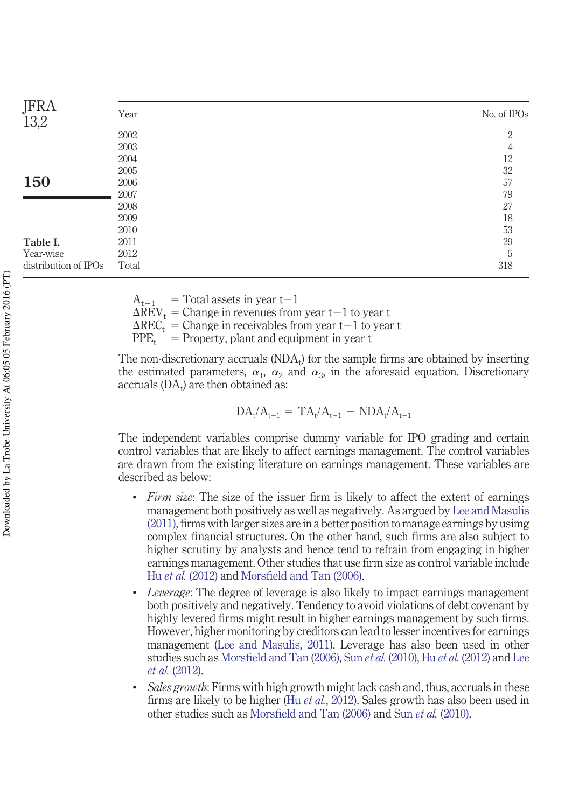| <b>JFRA</b><br>13,2  | Year  | No. of IPOs |
|----------------------|-------|-------------|
|                      | 2002  | 2           |
|                      | 2003  | 4           |
|                      | 2004  | 12          |
|                      | 2005  | $32\,$      |
| 150                  | 2006  | 57          |
|                      | 2007  | 79          |
|                      | 2008  | 27          |
|                      | 2009  | 18          |
|                      | 2010  | 53          |
| Table I.             | 2011  | 29          |
| Year-wise            | 2012  | 5           |
| distribution of IPOs | Total | 318         |

 $A_{t-1}$  $=$  Total assets in year t $-1$  $\Delta \text{REV}_{t} = \text{Change in revenues from year } t-1$  to year t  $\Delta \text{REC}_{t} = \text{Change in receivables from year } t-1$  to year t  $PPE_{t}$  $=$  Property, plant and equipment in year t

The non-discretionary accruals  $(NDA_t)$  for the sample firms are obtained by inserting the estimated parameters,  $\alpha_1$ ,  $\alpha_2$  and  $\alpha_3$ , in the aforesaid equation. Discretionary accruals  $(DA_t)$  are then obtained as:

$$
DA_t/A_{t-1} = TA_t/A_{t-1} - NDA_t/A_{t-1}
$$

The independent variables comprise dummy variable for IPO grading and certain control variables that are likely to affect earnings management. The control variables are drawn from the existing literature on earnings management. These variables are described as below:

- *Firm size*: The size of the issuer firm is likely to affect the extent of earnings management both positively as well as negatively. As argued by Lee and Masulis (2011), firms with larger sizes are in a better position to manage earnings by usimg complex financial structures. On the other hand, such firms are also subject to higher scrutiny by analysts and hence tend to refrain from engaging in higher earnings management. Other studies that use firm size as control variable include Hu *et al.* (2012) and Morsfield and Tan (2006).
- *Leverage*: The degree of leverage is also likely to impact earnings management both positively and negatively. Tendency to avoid violations of debt covenant by highly levered firms might result in higher earnings management by such firms. However, higher monitoring by creditors can lead to lesser incentives for earnings management (Lee and Masulis, 2011). Leverage has also been used in other studies such as Morsfield and Tan (2006), Sun *et al.* (2010), Hu *et al.* (2012) and Lee *et al.* (2012).
- *Sales growth*: Firms with high growth might lack cash and, thus, accruals in these firms are likely to be higher (Hu *et al.*, 2012). Sales growth has also been used in other studies such as Morsfield and Tan (2006) and Sun *et al.* (2010).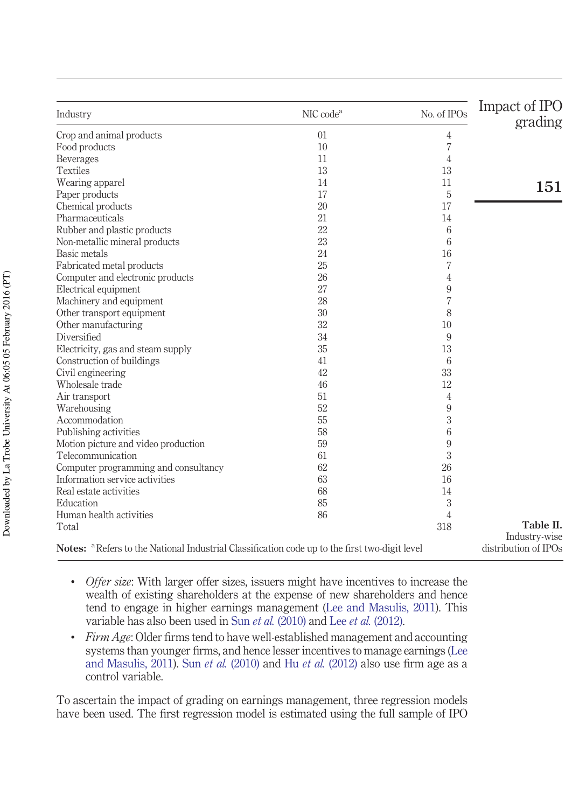| Industry                                                                                                         | NIC code <sup>a</sup> | No. of IPOs    | Impact of IPO<br>grading |
|------------------------------------------------------------------------------------------------------------------|-----------------------|----------------|--------------------------|
| Crop and animal products                                                                                         | 01                    | 4              |                          |
| Food products                                                                                                    | 10                    | 7              |                          |
| Beverages                                                                                                        | 11                    | 4              |                          |
| <b>Textiles</b>                                                                                                  | 13                    | 13             |                          |
| Wearing apparel                                                                                                  | 14                    | 11             | 151                      |
| Paper products                                                                                                   | 17                    | 5              |                          |
| Chemical products                                                                                                | 20                    | 17             |                          |
| Pharmaceuticals                                                                                                  | 21                    | 14             |                          |
| Rubber and plastic products                                                                                      | 22                    | 6              |                          |
| Non-metallic mineral products                                                                                    | 23                    | 6              |                          |
| Basic metals                                                                                                     | 24                    | 16             |                          |
| Fabricated metal products                                                                                        | 25                    | 7              |                          |
| Computer and electronic products                                                                                 | 26                    | $\overline{4}$ |                          |
| Electrical equipment                                                                                             | 27                    | 9              |                          |
| Machinery and equipment                                                                                          | 28                    | 7              |                          |
| Other transport equipment                                                                                        | 30                    | 8              |                          |
| Other manufacturing                                                                                              | 32                    | 10             |                          |
| Diversified                                                                                                      | 34                    | 9              |                          |
| Electricity, gas and steam supply                                                                                | 35                    | 13             |                          |
| Construction of buildings                                                                                        | 41                    | 6              |                          |
| Civil engineering                                                                                                | 42                    | 33             |                          |
| Wholesale trade                                                                                                  | 46                    | 12             |                          |
| Air transport                                                                                                    | 51                    | $\overline{4}$ |                          |
| Warehousing                                                                                                      | 52                    | 9              |                          |
| Accommodation                                                                                                    | 55                    | 3              |                          |
| Publishing activities                                                                                            | 58                    | 6              |                          |
| Motion picture and video production                                                                              | 59                    | 9              |                          |
| Telecommunication                                                                                                | 61                    | 3              |                          |
| Computer programming and consultancy                                                                             | 62                    | 26             |                          |
| Information service activities                                                                                   | 63                    | 16             |                          |
| Real estate activities                                                                                           | 68                    | 14             |                          |
| Education                                                                                                        | 85                    | 3              |                          |
| Human health activities                                                                                          | 86                    | $\overline{4}$ |                          |
| Total                                                                                                            |                       | 318            | Table II.                |
|                                                                                                                  |                       |                | Industry-wise            |
| <b>Notes:</b> <sup>a</sup> Refers to the National Industrial Classification code up to the first two-digit level |                       |                | distribution of IPOs     |

- *Offer size*: With larger offer sizes, issuers might have incentives to increase the wealth of existing shareholders at the expense of new shareholders and hence tend to engage in higher earnings management (Lee and Masulis, 2011). This variable has also been used in Sun *et al.* (2010) and Lee *et al.* (2012).
- *Firm Age*: Older firms tend to have well-established management and accounting systems than younger firms, and hence lesser incentives to manage earnings (Lee and Masulis, 2011). Sun *et al.* (2010) and Hu *et al.* (2012) also use firm age as a control variable.

To ascertain the impact of grading on earnings management, three regression models have been used. The first regression model is estimated using the full sample of IPO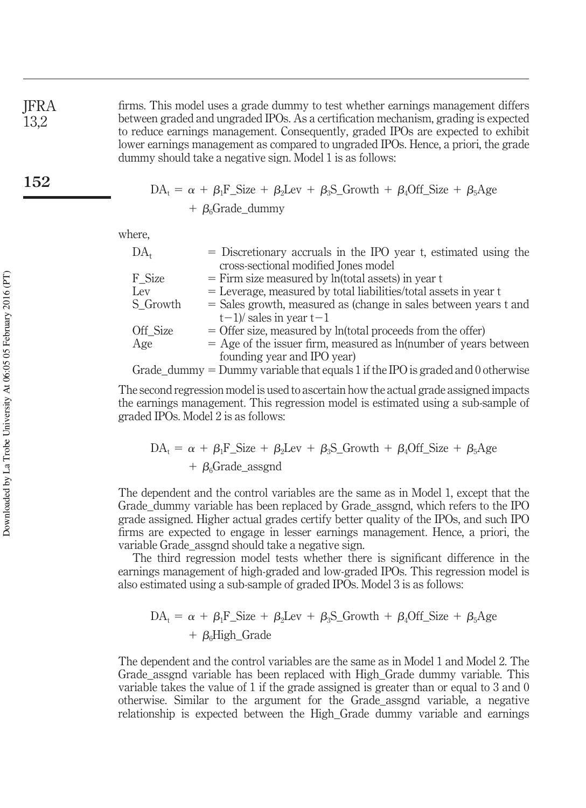firms. This model uses a grade dummy to test whether earnings management differs between graded and ungraded IPOs. As a certification mechanism, grading is expected to reduce earnings management. Consequently, graded IPOs are expected to exhibit lower earnings management as compared to ungraded IPOs. Hence, a priori, the grade dummy should take a negative sign. Model 1 is as follows:

$$
DA_t = \alpha + \beta_1 F\_Size + \beta_2 Lev + \beta_3 S\_Growth + \beta_4 Off\_Size + \beta_5 Age
$$

+  $\beta_6$ Grade dummy

where,

| $DA_{t}$                    | $=$ Discretionary accruals in the IPO year t, estimated using the  |
|-----------------------------|--------------------------------------------------------------------|
|                             | cross-sectional modified Jones model                               |
| F_Size                      | $=$ Firm size measured by ln(total assets) in year t               |
| Lev                         | $=$ Leverage, measured by total liabilities/total assets in year t |
| S Growth                    | $=$ Sales growth, measured as (change in sales between years t and |
|                             | $t-1$ / sales in year $t-1$                                        |
| Off Size                    | $=$ Offer size, measured by ln(total proceeds from the offer)      |
| Age                         | $=$ Age of the issuer firm, measured as ln(number of years between |
|                             | founding year and IPO year)                                        |
| $\sim$ $\sim$ $\sim$ $\sim$ | $\cdots$                                                           |

Grade\_dummy = Dummy variable that equals 1 if the IPO is graded and 0 otherwise

The second regression model is used to ascertain how the actual grade assigned impacts the earnings management. This regression model is estimated using a sub-sample of graded IPOs. Model 2 is as follows:

$$
DA_t = \alpha + \beta_1 F\_Size + \beta_2 Lev + \beta_3 S\_Growth + \beta_4 Off\_Size + \beta_5 Age
$$
  
+  $\beta_6 Grade\_assgnd$ 

The dependent and the control variables are the same as in Model 1, except that the Grade\_dummy variable has been replaced by Grade\_assgnd, which refers to the IPO grade assigned. Higher actual grades certify better quality of the IPOs, and such IPO firms are expected to engage in lesser earnings management. Hence, a priori, the variable Grade\_assgnd should take a negative sign.

The third regression model tests whether there is significant difference in the earnings management of high-graded and low-graded IPOs. This regression model is also estimated using a sub-sample of graded IPOs. Model 3 is as follows:

$$
DA_t = \alpha + \beta_1 F\_Size + \beta_2 Lev + \beta_3 S\_Growth + \beta_4 Off\_Size + \beta_5 Age
$$
  
+  $\beta_6 High\_Grade$ 

The dependent and the control variables are the same as in Model 1 and Model 2. The Grade\_assgnd variable has been replaced with High\_Grade dummy variable. This variable takes the value of 1 if the grade assigned is greater than or equal to 3 and 0 otherwise. Similar to the argument for the Grade\_assgnd variable, a negative relationship is expected between the High\_Grade dummy variable and earnings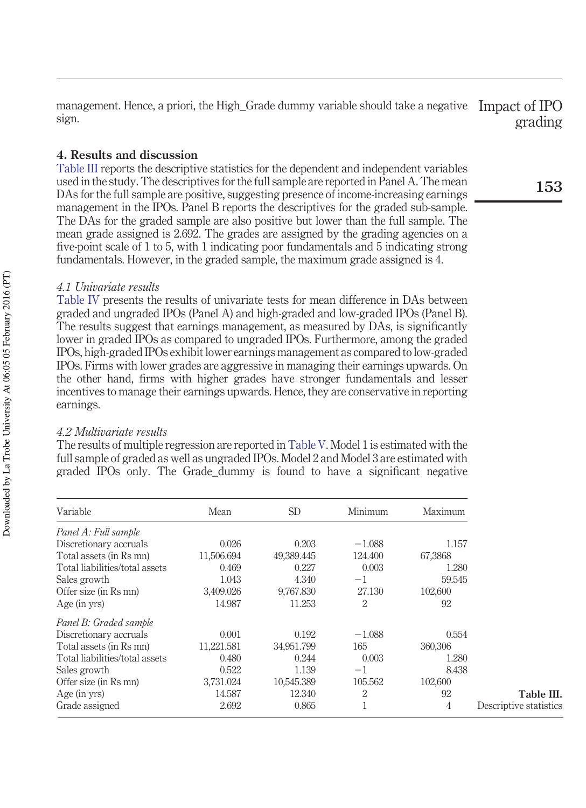management. Hence, a priori, the High\_Grade dummy variable should take a negative sign. Impact of IPO grading

### **4. Results and discussion**

Table III reports the descriptive statistics for the dependent and independent variables used in the study. The descriptives for the full sample are reported in Panel A. The mean DAs for the full sample are positive, suggesting presence of income-increasing earnings management in the IPOs. Panel B reports the descriptives for the graded sub-sample. The DAs for the graded sample are also positive but lower than the full sample. The mean grade assigned is 2.692. The grades are assigned by the grading agencies on a five-point scale of 1 to 5, with 1 indicating poor fundamentals and 5 indicating strong fundamentals. However, in the graded sample, the maximum grade assigned is 4.

### *4.1 Univariate results*

Table IV presents the results of univariate tests for mean difference in DAs between graded and ungraded IPOs (Panel A) and high-graded and low-graded IPOs (Panel B). The results suggest that earnings management, as measured by DAs, is significantly lower in graded IPOs as compared to ungraded IPOs. Furthermore, among the graded IPOs, high-graded IPOs exhibit lower earnings management as compared to low-graded IPOs. Firms with lower grades are aggressive in managing their earnings upwards. On the other hand, firms with higher grades have stronger fundamentals and lesser incentives to manage their earnings upwards. Hence, they are conservative in reporting earnings.

### *4.2 Multivariate results*

The results of multiple regression are reported in Table V. Model 1 is estimated with the full sample of graded as well as ungraded IPOs. Model 2 and Model 3 are estimated with graded IPOs only. The Grade\_dummy is found to have a significant negative

| Variable                       | Mean       | SD         | Minimum  | Maximum |                        |
|--------------------------------|------------|------------|----------|---------|------------------------|
| Panel A: Full sample           |            |            |          |         |                        |
| Discretionary accruals         | 0.026      | 0.203      | $-1.088$ | 1.157   |                        |
| Total assets (in Rs mn)        | 11,506.694 | 49,389.445 | 124.400  | 67,3868 |                        |
| Total liabilities/total assets | 0.469      | 0.227      | 0.003    | 1.280   |                        |
| Sales growth                   | 1.043      | 4.340      | $-1$     | 59.545  |                        |
| Offer size (in Rs mn)          | 3,409.026  | 9,767.830  | 27.130   | 102,600 |                        |
| Age (in yrs)                   | 14.987     | 11.253     | 2        | 92      |                        |
| Panel B: Graded sample         |            |            |          |         |                        |
| Discretionary accruals         | 0.001      | 0.192      | $-1.088$ | 0.554   |                        |
| Total assets (in Rs mn)        | 11,221.581 | 34,951.799 | 165      | 360,306 |                        |
| Total liabilities/total assets | 0.480      | 0.244      | 0.003    | 1.280   |                        |
| Sales growth                   | 0.522      | 1.139      | $-1$     | 8.438   |                        |
| Offer size (in Rs mn)          | 3,731.024  | 10,545.389 | 105.562  | 102,600 |                        |
| Age (in yrs)                   | 14.587     | 12.340     | 2        | 92      | Table III.             |
| Grade assigned                 | 2.692      | 0.865      |          | 4       | Descriptive statistics |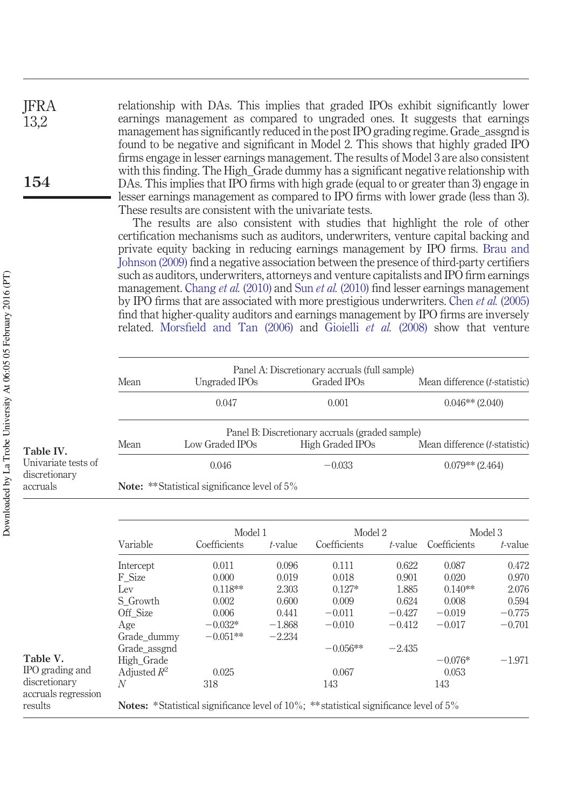relationship with DAs. This implies that graded IPOs exhibit significantly lower earnings management as compared to ungraded ones. It suggests that earnings management has significantly reduced in the post IPO grading regime. Grade\_assgnd is found to be negative and significant in Model 2. This shows that highly graded IPO firms engage in lesser earnings management. The results of Model 3 are also consistent with this finding. The High–Grade dummy has a significant negative relationship with DAs. This implies that IPO firms with high grade (equal to or greater than 3) engage in lesser earnings management as compared to IPO firms with lower grade (less than 3). These results are consistent with the univariate tests. JFRA 13,2 **154**

The results are also consistent with studies that highlight the role of other certification mechanisms such as auditors, underwriters, venture capital backing and private equity backing in reducing earnings management by IPO firms. Brau and Johnson (2009) find a negative association between the presence of third-party certifiers such as auditors, underwriters, attorneys and venture capitalists and IPO firm earnings management. Chang *et al.* (2010) and Sun *et al.* (2010) find lesser earnings management by IPO firms that are associated with more prestigious underwriters. Chen *et al.* (2005) find that higher-quality auditors and earnings management by IPO firms are inversely related. Morsfield and Tan (2006) and Gioielli *et al.* (2008) show that venture

| Mean | Ungraded IPOs   | Panel A: Discretionary accruals (full sample)<br>Graded IPOs        | Mean difference ( <i>t</i> -statistic) |
|------|-----------------|---------------------------------------------------------------------|----------------------------------------|
|      | 0.047           | 0.001                                                               | $0.046**$ (2.040)                      |
| Mean | Low Graded IPOs | Panel B: Discretionary accruals (graded sample)<br>High Graded IPOs | Mean difference ( <i>t</i> -statistic) |
|      | 0.046           | $-0.033$                                                            | $0.079**$ (2.464)                      |

|                                      |                                                                                              | Model 1      |          | Model 2      |          | Model 3      |          |
|--------------------------------------|----------------------------------------------------------------------------------------------|--------------|----------|--------------|----------|--------------|----------|
|                                      | Variable                                                                                     | Coefficients | t-value  | Coefficients | t-value  | Coefficients | t-value  |
|                                      | Intercept                                                                                    | 0.011        | 0.096    | 0.111        | 0.622    | 0.087        | 0.472    |
|                                      | F Size                                                                                       | 0.000        | 0.019    | 0.018        | 0.901    | 0.020        | 0.970    |
|                                      | Lev                                                                                          | $0.118**$    | 2.303    | $0.127*$     | 1.885    | $0.140**$    | 2.076    |
|                                      | S Growth                                                                                     | 0.002        | 0.600    | 0.009        | 0.624    | 0.008        | 0.594    |
|                                      | Off Size                                                                                     | 0.006        | 0.441    | $-0.011$     | $-0.427$ | $-0.019$     | $-0.775$ |
|                                      | Age                                                                                          | $-0.032*$    | $-1.868$ | $-0.010$     | $-0.412$ | $-0.017$     | $-0.701$ |
|                                      | Grade dummy                                                                                  | $-0.051**$   | $-2.234$ |              |          |              |          |
|                                      | Grade assgnd                                                                                 |              |          | $-0.056**$   | $-2.435$ |              |          |
| Table V.                             | High Grade                                                                                   |              |          |              |          | $-0.076*$    | $-1.971$ |
| IPO grading and                      | Adjusted $R^2$                                                                               | 0.025        |          | 0.067        |          | 0.053        |          |
| discretionary<br>accruals regression | $\overline{N}$                                                                               | 318          |          | 143          |          | 143          |          |
| results                              | <b>Notes:</b> *Statistical significance level of 10%; **statistical significance level of 5% |              |          |              |          |              |          |

accruals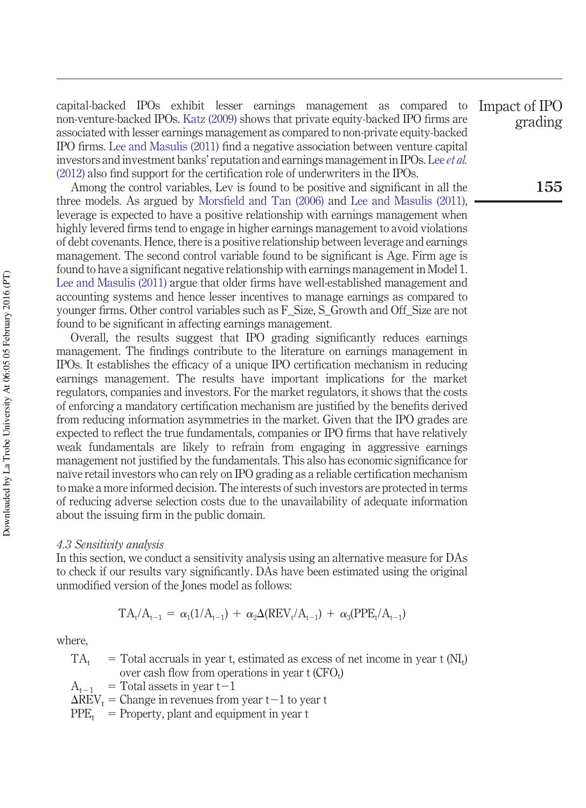capital-backed IPOs exhibit lesser earnings management as compared to non-venture-backed IPOs. Katz (2009) shows that private equity-backed IPO firms are associated with lesser earnings management as compared to non-private equity-backed IPO firms. Lee and Masulis (2011) find a negative association between venture capital investors and investment banks' reputation and earnings management in IPOs. Lee *et al.* (2012) also find support for the certification role of underwriters in the IPOs.

Among the control variables, Lev is found to be positive and significant in all the three models. As argued by Morsfield and Tan (2006) and Lee and Masulis (2011), leverage is expected to have a positive relationship with earnings management when highly levered firms tend to engage in higher earnings management to avoid violations of debt covenants. Hence, there is a positive relationship between leverage and earnings management. The second control variable found to be significant is Age. Firm age is found to have a significant negative relationship with earnings management in Model 1. Lee and Masulis (2011) argue that older firms have well-established management and accounting systems and hence lesser incentives to manage earnings as compared to younger firms. Other control variables such as F\_Size, S\_Growth and Off\_Size are not found to be significant in affecting earnings management.

Overall, the results suggest that IPO grading significantly reduces earnings management. The findings contribute to the literature on earnings management in IPOs. It establishes the efficacy of a unique IPO certification mechanism in reducing earnings management. The results have important implications for the market regulators, companies and investors. For the market regulators, it shows that the costs of enforcing a mandatory certification mechanism are justified by the benefits derived from reducing information asymmetries in the market. Given that the IPO grades are expected to reflect the true fundamentals, companies or IPO firms that have relatively weak fundamentals are likely to refrain from engaging in aggressive earnings management not justified by the fundamentals. This also has economic significance for naïve retail investors who can rely on IPO grading as a reliable certification mechanism to make a more informed decision. The interests of such investors are protected in terms of reducing adverse selection costs due to the unavailability of adequate information about the issuing firm in the public domain.

#### *4.3 Sensitivity analysis*

In this section, we conduct a sensitivity analysis using an alternative measure for DAs to check if our results vary significantly. DAs have been estimated using the original unmodified version of the Jones model as follows:

$$
TA_{t}/A_{t-1} = \alpha_1(1/A_{t-1}) + \alpha_2\Delta(REV_{t}/A_{t-1}) + \alpha_3(PPE_{t}/A_{t-1})
$$

where,

| $TA_{t}$ | = Total accruals in year t, estimated as excess of net income in year t ( $NI_t$ ) |
|----------|------------------------------------------------------------------------------------|
|          | over cash flow from operations in year $t(CFO_t)$                                  |

- $A_{t-1}$  = Total assets in year t-1
- $\Delta \text{REV}_{t} = \text{Change in revenues from year } t-1$  to year t
- $PPE_t$  = Property, plant and equipment in year t

Impact of IPO grading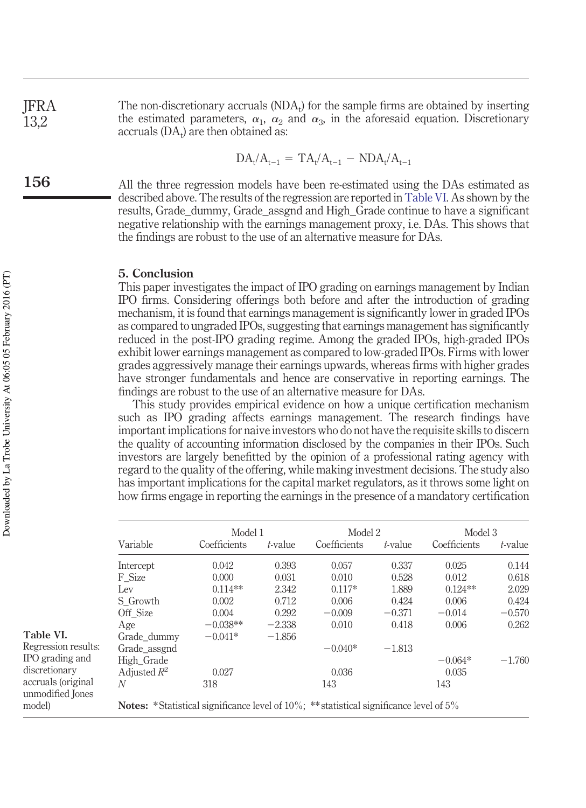The non-discretionary accruals  $(NDA_t)$  for the sample firms are obtained by inserting the estimated parameters,  $\alpha_1$ ,  $\alpha_2$  and  $\alpha_3$ , in the aforesaid equation. Discretionary accruals  $(DA_t)$  are then obtained as: JFRA 13,2

$$
DA_t/A_{t-1} = TA_t/A_{t-1} - NDA_t/A_{t-1}
$$

All the three regression models have been re-estimated using the DAs estimated as described above. The results of the regression are reported in Table VI. As shown by the results, Grade\_dummy, Grade\_assgnd and High\_Grade continue to have a significant negative relationship with the earnings management proxy, i.e. DAs. This shows that the findings are robust to the use of an alternative measure for DAs. **156**

#### **5. Conclusion**

This paper investigates the impact of IPO grading on earnings management by Indian IPO firms. Considering offerings both before and after the introduction of grading mechanism, it is found that earnings management is significantly lower in graded IPOs as compared to ungraded IPOs, suggesting that earnings management has significantly reduced in the post-IPO grading regime. Among the graded IPOs, high-graded IPOs exhibit lower earnings management as compared to low-graded IPOs. Firms with lower grades aggressively manage their earnings upwards, whereas firms with higher grades have stronger fundamentals and hence are conservative in reporting earnings. The findings are robust to the use of an alternative measure for DAs.

This study provides empirical evidence on how a unique certification mechanism such as IPO grading affects earnings management. The research findings have important implications for naive investors who do not have the requisite skills to discern the quality of accounting information disclosed by the companies in their IPOs. Such investors are largely benefitted by the opinion of a professional rating agency with regard to the quality of the offering, while making investment decisions. The study also has important implications for the capital market regulators, as it throws some light on how firms engage in reporting the earnings in the presence of a mandatory certification

|                 |                                                                                              | Model 1      |          | Model 2      |          | Model 3      |          |
|-----------------|----------------------------------------------------------------------------------------------|--------------|----------|--------------|----------|--------------|----------|
|                 | Variable                                                                                     | Coefficients | t-value  | Coefficients | t-value  | Coefficients | t-value  |
|                 | Intercept                                                                                    | 0.042        | 0.393    | 0.057        | 0.337    | 0.025        | 0.144    |
|                 | F Size                                                                                       | 0.000        | 0.031    | 0.010        | 0.528    | 0.012        | 0.618    |
|                 | Lev                                                                                          | $0.114**$    | 2.342    | $0.117*$     | 1.889    | $0.124**$    | 2.029    |
|                 | S Growth                                                                                     | 0.002        | 0.712    | 0.006        | 0.424    | 0.006        | 0.424    |
|                 | Off Size                                                                                     | 0.004        | 0.292    | $-0.009$     | $-0.371$ | $-0.014$     | $-0.570$ |
|                 | Age                                                                                          | $-0.038**$   | $-2.338$ | 0.010        | 0.418    | 0.006        | 0.262    |
|                 | Grade dummy                                                                                  | $-0.041*$    | $-1.856$ |              |          |              |          |
| results:        | Grade assgnd                                                                                 |              |          | $-0.040*$    | $-1.813$ |              |          |
| r and           | High Grade                                                                                   |              |          |              |          | $-0.064*$    | $-1.760$ |
| V               | Adjusted $R^2$                                                                               | 0.027        |          | 0.036        |          | 0.035        |          |
| iginal<br>Jones | N                                                                                            | 318          |          | 143          |          | 143          |          |
|                 | <b>Notes:</b> *Statistical significance level of 10%; **statistical significance level of 5% |              |          |              |          |              |          |

**Table VI.** Regression IPO grading discretionar accruals (or unmodified model)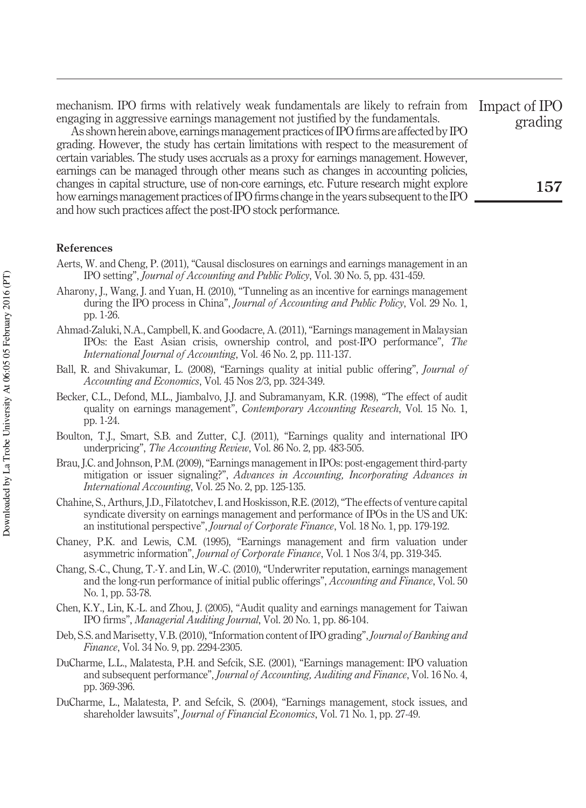mechanism. IPO firms with relatively weak fundamentals are likely to refrain from engaging in aggressive earnings management not justified by the fundamentals.

As shown herein above, earnings management practices of IPO firms are affected by IPO grading. However, the study has certain limitations with respect to the measurement of certain variables. The study uses accruals as a proxy for earnings management. However, earnings can be managed through other means such as changes in accounting policies, changes in capital structure, use of non-core earnings, etc. Future research might explore how earnings management practices of IPO firms change in the years subsequent to the IPO and how such practices affect the post-IPO stock performance.

### **References**

- Aerts, W. and Cheng, P. (2011), "Causal disclosures on earnings and earnings management in an IPO setting", *Journal of Accounting and Public Policy*, Vol. 30 No. 5, pp. 431-459.
- Aharony, J., Wang, J. and Yuan, H. (2010), "Tunneling as an incentive for earnings management during the IPO process in China", *Journal of Accounting and Public Policy*, Vol. 29 No. 1, pp. 1-26.
- Ahmad-Zaluki, N.A., Campbell, K. and Goodacre, A. (2011), "Earnings management in Malaysian IPOs: the East Asian crisis, ownership control, and post-IPO performance", *The International Journal of Accounting*, Vol. 46 No. 2, pp. 111-137.
- Ball, R. and Shivakumar, L. (2008), "Earnings quality at initial public offering", *Journal of Accounting and Economics*, Vol. 45 Nos 2/3, pp. 324-349.
- Becker, C.L., Defond, M.L., Jiambalvo, J.J. and Subramanyam, K.R. (1998), "The effect of audit quality on earnings management", *Contemporary Accounting Research*, Vol. 15 No. 1, pp. 1-24.
- Boulton, T.J., Smart, S.B. and Zutter, C.J. (2011), "Earnings quality and international IPO underpricing", *The Accounting Review*, Vol. 86 No. 2, pp. 483-505.
- Brau, J.C. and Johnson, P.M. (2009), "Earnings management in IPOs: post-engagement third-party mitigation or issuer signaling?", *Advances in Accounting, Incorporating Advances in International Accounting*, Vol. 25 No. 2, pp. 125-135.
- Chahine, S., Arthurs, J.D., Filatotchev, I. and Hoskisson, R.E. (2012), "The effects of venture capital syndicate diversity on earnings management and performance of IPOs in the US and UK: an institutional perspective", *Journal of Corporate Finance*, Vol. 18 No. 1, pp. 179-192.
- Chaney, P.K. and Lewis, C.M. (1995), "Earnings management and firm valuation under asymmetric information", *Journal of Corporate Finance*, Vol. 1 Nos 3/4, pp. 319-345.
- Chang, S.-C., Chung, T.-Y. and Lin, W.-C. (2010), "Underwriter reputation, earnings management and the long-run performance of initial public offerings", *Accounting and Finance*, Vol. 50 No. 1, pp. 53-78.
- Chen, K.Y., Lin, K.-L. and Zhou, J. (2005), "Audit quality and earnings management for Taiwan IPO firms", *Managerial Auditing Journal*, Vol. 20 No. 1, pp. 86-104.
- Deb, S.S. and Marisetty, V.B. (2010), "Information content of IPO grading", *Journal of Banking and Finance*, Vol. 34 No. 9, pp. 2294-2305.
- DuCharme, L.L., Malatesta, P.H. and Sefcik, S.E. (2001), "Earnings management: IPO valuation and subsequent performance", *Journal of Accounting, Auditing and Finance*, Vol. 16 No. 4, pp. 369-396.
- DuCharme, L., Malatesta, P. and Sefcik, S. (2004), "Earnings management, stock issues, and shareholder lawsuits", *Journal of Financial Economics*, Vol. 71 No. 1, pp. 27-49.

grading

Impact of IPO